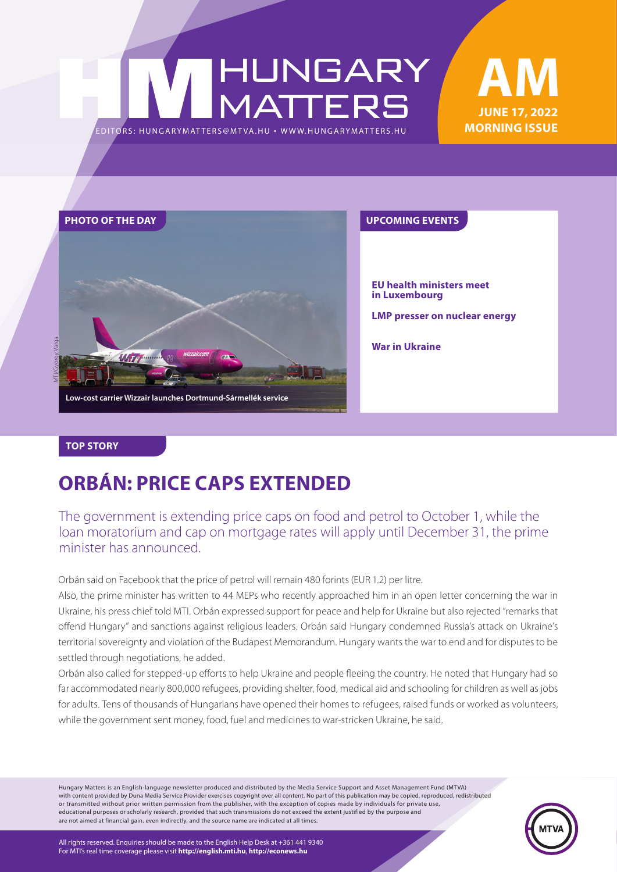# HUNGARY<br>MATTERS EDITORS: HUNGARYMAT TERS@MT VA.HU ¬ [WWW.HUNGARYMAT TERS.HU](http://hungarymatters.hu/)





**EU health ministers meet in Luxembourg**

**LMP presser on nuclear energy**

**War in Ukraine**

#### **TOP STORY**

### **ORBÁN: PRICE CAPS EXTENDED**

The government is extending price caps on food and petrol to October 1, while the loan moratorium and cap on mortgage rates will apply until December 31, the prime minister has announced.

Orbán said on Facebook that the price of petrol will remain 480 forints (EUR 1.2) per litre.

Also, the prime minister has written to 44 MEPs who recently approached him in an open letter concerning the war in Ukraine, his press chief told MTI. Orbán expressed support for peace and help for Ukraine but also rejected "remarks that offend Hungary" and sanctions against religious leaders. Orbán said Hungary condemned Russia's attack on Ukraine's territorial sovereignty and violation of the Budapest Memorandum. Hungary wants the war to end and for disputes to be settled through negotiations, he added.

Orbán also called for stepped-up efforts to help Ukraine and people fleeing the country. He noted that Hungary had so far accommodated nearly 800,000 refugees, providing shelter, food, medical aid and schooling for children as well as jobs for adults. Tens of thousands of Hungarians have opened their homes to refugees, raised funds or worked as volunteers, while the government sent money, food, fuel and medicines to war-stricken Ukraine, he said.

Hungary Matters is an English-language newsletter produced and distributed by the Media Service Support and Asset Management Fund (MTVA) with content provided by Duna Media Service Provider exercises copyright over all content. No part of this publication may be copied, reproduced, redistributed or transmitted without prior written permission from the publisher, with the exception of copies made by individuals for private use, educational purposes or scholarly research, provided that such transmissions do not exceed the extent justified by the purpose and are not aimed at financial gain, even indirectly, and the source name are indicated at all times.

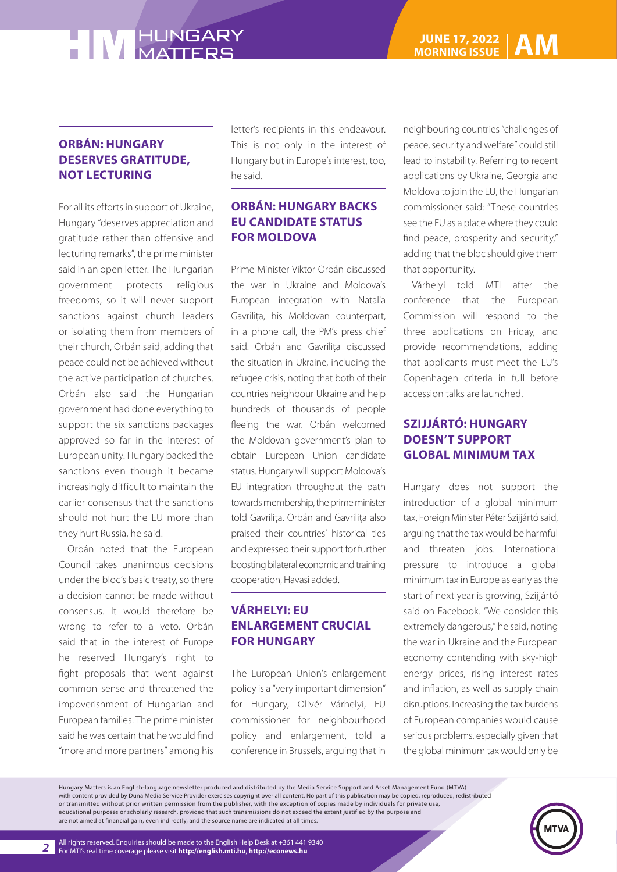#### **ORBÁN: HUNGARY DESERVES GRATITUDE, NOT LECTURING**

For all its efforts in support of Ukraine, Hungary "deserves appreciation and gratitude rather than offensive and lecturing remarks", the prime minister said in an open letter. The Hungarian government protects religious freedoms, so it will never support sanctions against church leaders or isolating them from members of their church, Orbán said, adding that peace could not be achieved without the active participation of churches. Orbán also said the Hungarian government had done everything to support the six sanctions packages approved so far in the interest of European unity. Hungary backed the sanctions even though it became increasingly difficult to maintain the earlier consensus that the sanctions should not hurt the EU more than they hurt Russia, he said.

Orbán noted that the European Council takes unanimous decisions under the bloc's basic treaty, so there a decision cannot be made without consensus. It would therefore be wrong to refer to a veto. Orbán said that in the interest of Europe he reserved Hungary's right to fight proposals that went against common sense and threatened the impoverishment of Hungarian and European families. The prime minister said he was certain that he would find "more and more partners" among his

letter's recipients in this endeavour. This is not only in the interest of Hungary but in Europe's interest, too, he said.

#### **ORBÁN: HUNGARY BACKS EU CANDIDATE STATUS FOR MOLDOVA**

Prime Minister Viktor Orbán discussed the war in Ukraine and Moldova's European integration with Natalia Gavrilița, his Moldovan counterpart, in a phone call, the PM's press chief said. Orbán and Gavrilita discussed the situation in Ukraine, including the refugee crisis, noting that both of their countries neighbour Ukraine and help hundreds of thousands of people fleeing the war. Orbán welcomed the Moldovan government's plan to obtain European Union candidate status. Hungary will support Moldova's EU integration throughout the path towards membership, the prime minister told Gavrilița. Orbán and Gavrilița also praised their countries' historical ties and expressed their support for further boosting bilateral economic and training cooperation, Havasi added.

### **VÁRHELYI: EU ENLARGEMENT CRUCIAL FOR HUNGARY**

The European Union's enlargement policy is a "very important dimension" for Hungary, Olivér Várhelyi, EU commissioner for neighbourhood policy and enlargement, told a conference in Brussels, arguing that in

neighbouring countries "challenges of peace, security and welfare" could still lead to instability. Referring to recent applications by Ukraine, Georgia and Moldova to join the EU, the Hungarian commissioner said: "These countries see the EU as a place where they could find peace, prosperity and security," adding that the bloc should give them that opportunity.

Várhelyi told MTI after the conference that the European Commission will respond to the three applications on Friday, and provide recommendations, adding that applicants must meet the EU's Copenhagen criteria in full before accession talks are launched.

#### **SZIJJÁRTÓ: HUNGARY DOESN'T SUPPORT GLOBAL MINIMUM TAX**

Hungary does not support the introduction of a global minimum tax, Foreign Minister Péter Szijjártó said, arguing that the tax would be harmful and threaten jobs. International pressure to introduce a global minimum tax in Europe as early as the start of next year is growing, Szijjártó said on Facebook. "We consider this extremely dangerous," he said, noting the war in Ukraine and the European economy contending with sky-high energy prices, rising interest rates and inflation, as well as supply chain disruptions. Increasing the tax burdens of European companies would cause serious problems, especially given that the global minimum tax would only be

Hungary Matters is an English-language newsletter produced and distributed by the Media Service Support and Asset Management Fund (MTVA) with content provided by Duna Media Service Provider exercises copyright over all content. No part of this publication may be copied, reproduced, redistributed or transmitted without prior written permission from the publisher, with the exception of copies made by individuals for private use, educational purposes or scholarly research, provided that such transmissions do not exceed the extent justified by the purpose and are not aimed at financial gain, even indirectly, and the source name are indicated at all times.

*2*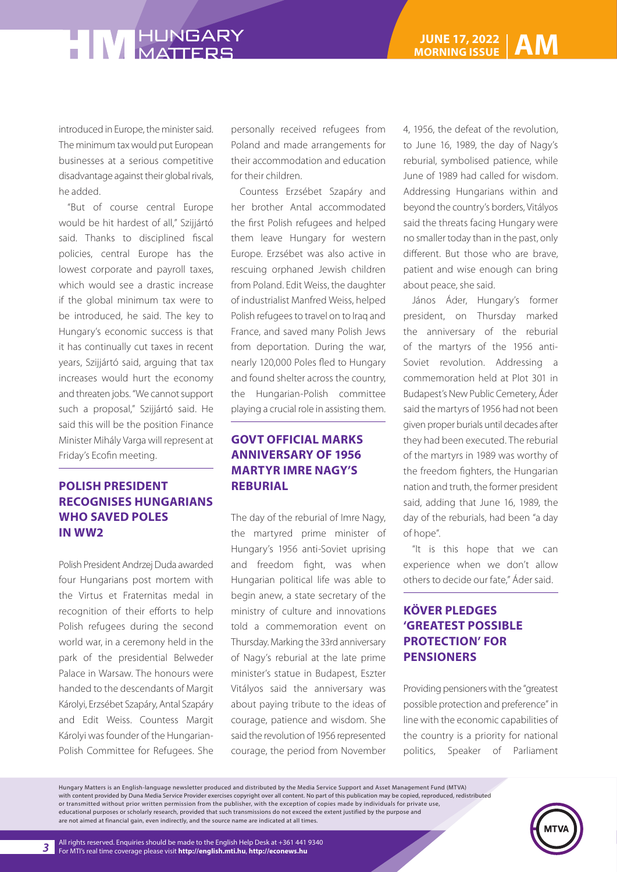introduced in Europe, the minister said. The minimum tax would put European businesses at a serious competitive disadvantage against their global rivals, he added.

"But of course central Europe would be hit hardest of all," Szijjártó said. Thanks to disciplined fiscal policies, central Europe has the lowest corporate and payroll taxes, which would see a drastic increase if the global minimum tax were to be introduced, he said. The key to Hungary's economic success is that it has continually cut taxes in recent years, Szijjártó said, arguing that tax increases would hurt the economy and threaten jobs. "We cannot support such a proposal," Szijjártó said. He said this will be the position Finance Minister Mihály Varga will represent at Friday's Ecofin meeting.

#### **POLISH PRESIDENT RECOGNISES HUNGARIANS WHO SAVED POLES IN WW2**

Polish President Andrzej Duda awarded four Hungarians post mortem with the Virtus et Fraternitas medal in recognition of their efforts to help Polish refugees during the second world war, in a ceremony held in the park of the presidential Belweder Palace in Warsaw. The honours were handed to the descendants of Margit Károlyi, Erzsébet Szapáry, Antal Szapáry and Edit Weiss. Countess Margit Károlyi was founder of the Hungarian-Polish Committee for Refugees. She

personally received refugees from Poland and made arrangements for their accommodation and education for their children.

Countess Erzsébet Szapáry and her brother Antal accommodated the first Polish refugees and helped them leave Hungary for western Europe. Erzsébet was also active in rescuing orphaned Jewish children from Poland. Edit Weiss, the daughter of industrialist Manfred Weiss, helped Polish refugees to travel on to Iraq and France, and saved many Polish Jews from deportation. During the war, nearly 120,000 Poles fled to Hungary and found shelter across the country, the Hungarian-Polish committee playing a crucial role in assisting them.

#### **GOVT OFFICIAL MARKS ANNIVERSARY OF 1956 MARTYR IMRE NAGY'S REBURIAL**

The day of the reburial of Imre Nagy, the martyred prime minister of Hungary's 1956 anti-Soviet uprising and freedom fight, was when Hungarian political life was able to begin anew, a state secretary of the ministry of culture and innovations told a commemoration event on Thursday. Marking the 33rd anniversary of Nagy's reburial at the late prime minister's statue in Budapest, Eszter Vitályos said the anniversary was about paying tribute to the ideas of courage, patience and wisdom. She said the revolution of 1956 represented courage, the period from November

4, 1956, the defeat of the revolution, to June 16, 1989, the day of Nagy's reburial, symbolised patience, while June of 1989 had called for wisdom. Addressing Hungarians within and beyond the country's borders, Vitályos said the threats facing Hungary were no smaller today than in the past, only different. But those who are brave, patient and wise enough can bring about peace, she said.

János Áder, Hungary's former president, on Thursday marked the anniversary of the reburial of the martyrs of the 1956 anti-Soviet revolution. Addressing a commemoration held at Plot 301 in Budapest's New Public Cemetery, Áder said the martyrs of 1956 had not been given proper burials until decades after they had been executed. The reburial of the martyrs in 1989 was worthy of the freedom fighters, the Hungarian nation and truth, the former president said, adding that June 16, 1989, the day of the reburials, had been "a day of hope".

"It is this hope that we can experience when we don't allow others to decide our fate," Áder said.

#### **KÖVER PLEDGES 'GREATEST POSSIBLE PROTECTION' FOR PENSIONERS**

Providing pensioners with the "greatest possible protection and preference" in line with the economic capabilities of the country is a priority for national politics, Speaker of Parliament

Hungary Matters is an English-language newsletter produced and distributed by the Media Service Support and Asset Management Fund (MTVA) with content provided by Duna Media Service Provider exercises copyright over all content. No part of this publication may be copied, reproduced, redistributed or transmitted without prior written permission from the publisher, with the exception of copies made by individuals for private use, educational purposes or scholarly research, provided that such transmissions do not exceed the extent justified by the purpose and are not aimed at financial gain, even indirectly, and the source name are indicated at all times.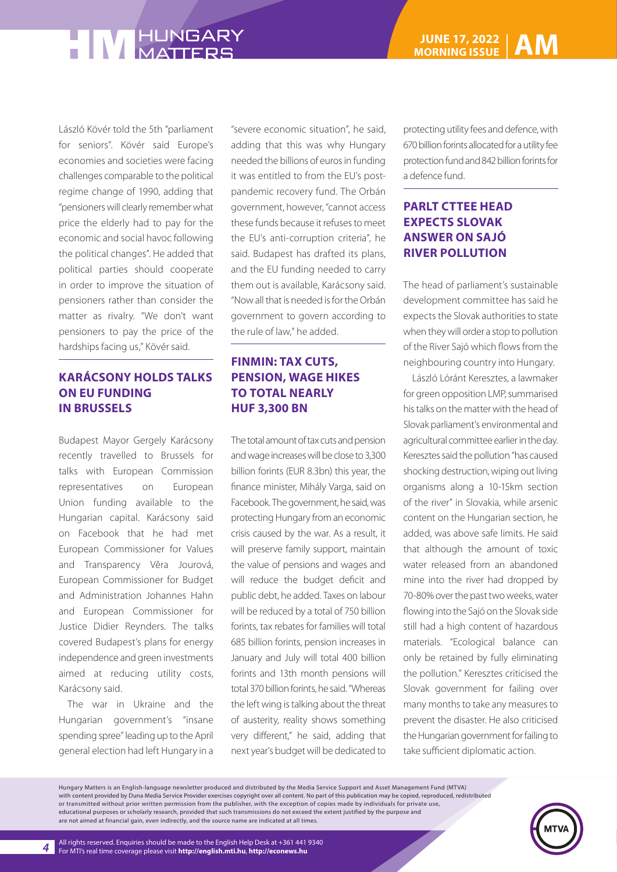László Kövér told the 5th "parliament for seniors". Kövér said Europe's economies and societies were facing challenges comparable to the political regime change of 1990, adding that "pensioners will clearly remember what price the elderly had to pay for the economic and social havoc following the political changes". He added that political parties should cooperate in order to improve the situation of pensioners rather than consider the matter as rivalry. "We don't want pensioners to pay the price of the hardships facing us," Kövér said.

#### **KARÁCSONY HOLDS TALKS ON EU FUNDING IN BRUSSELS**

Budapest Mayor Gergely Karácsony recently travelled to Brussels for talks with European Commission representatives on European Union funding available to the Hungarian capital. Karácsony said on Facebook that he had met European Commissioner for Values and Transparency Věra Jourová, European Commissioner for Budget and Administration Johannes Hahn and European Commissioner for Justice Didier Reynders. The talks covered Budapest's plans for energy independence and green investments aimed at reducing utility costs, Karácsony said.

The war in Ukraine and the Hungarian government's "insane spending spree" leading up to the April general election had left Hungary in a

"severe economic situation", he said, adding that this was why Hungary needed the billions of euros in funding it was entitled to from the EU's postpandemic recovery fund. The Orbán government, however, "cannot access these funds because it refuses to meet the EU's anti-corruption criteria", he said. Budapest has drafted its plans, and the EU funding needed to carry them out is available, Karácsony said. "Now all that is needed is for the Orbán government to govern according to the rule of law," he added.

#### **FINMIN: TAX CUTS, PENSION, WAGE HIKES TO TOTAL NEARLY HUF 3,300 BN**

The total amount of tax cuts and pension and wage increases will be close to 3,300 billion forints (EUR 8.3bn) this year, the finance minister, Mihály Varga, said on Facebook. The government, he said, was protecting Hungary from an economic crisis caused by the war. As a result, it will preserve family support, maintain the value of pensions and wages and will reduce the budget deficit and public debt, he added. Taxes on labour will be reduced by a total of 750 billion forints, tax rebates for families will total 685 billion forints, pension increases in January and July will total 400 billion forints and 13th month pensions will total 370 billion forints, he said. "Whereas the left wing is talking about the threat of austerity, reality shows something very different," he said, adding that next year's budget will be dedicated to

protecting utility fees and defence, with 670 billion forints allocated for a utility fee protection fund and 842 billion forints for a defence fund.

#### **PARLT CTTEE HEAD EXPECTS SLOVAK ANSWER ON SAJÓ RIVER POLLUTION**

The head of parliament's sustainable development committee has said he expects the Slovak authorities to state when they will order a stop to pollution of the River Sajó which flows from the neighbouring country into Hungary.

László Lóránt Keresztes, a lawmaker for green opposition LMP, summarised his talks on the matter with the head of Slovak parliament's environmental and agricultural committee earlier in the day. Keresztes said the pollution "has caused shocking destruction, wiping out living organisms along a 10-15km section of the river" in Slovakia, while arsenic content on the Hungarian section, he added, was above safe limits. He said that although the amount of toxic water released from an abandoned mine into the river had dropped by 70-80% over the past two weeks, water flowing into the Sajó on the Slovak side still had a high content of hazardous materials. "Ecological balance can only be retained by fully eliminating the pollution." Keresztes criticised the Slovak government for failing over many months to take any measures to prevent the disaster. He also criticised the Hungarian government for failing to take sufficient diplomatic action.

Hungary Matters is an English-language newsletter produced and distributed by the Media Service Support and Asset Management Fund (MTVA) with content provided by Duna Media Service Provider exercises copyright over all content. No part of this publication may be copied, reproduced, redistributed or transmitted without prior written permission from the publisher, with the exception of copies made by individuals for private use, educational purposes or scholarly research, provided that such transmissions do not exceed the extent justified by the purpose and are not aimed at financial gain, even indirectly, and the source name are indicated at all times.

*4*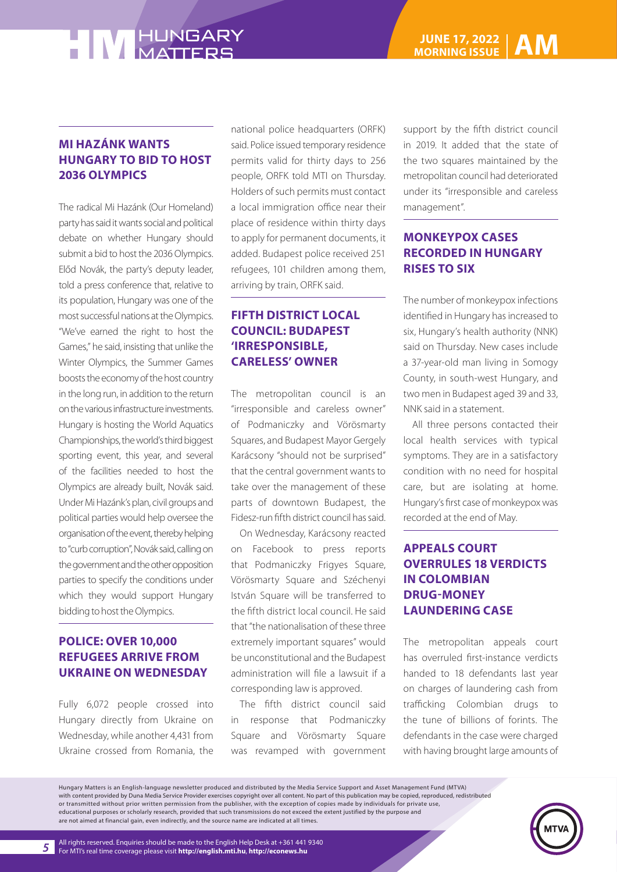#### **MI HAZÁNK WANTS HUNGARY TO BID TO HOST 2036 OLYMPICS**

The radical Mi Hazánk (Our Homeland) party has said it wants social and political debate on whether Hungary should submit a bid to host the 2036 Olympics. Előd Novák, the party's deputy leader, told a press conference that, relative to its population, Hungary was one of the most successful nations at the Olympics. "We've earned the right to host the Games," he said, insisting that unlike the Winter Olympics, the Summer Games boosts the economy of the host country in the long run, in addition to the return on the various infrastructure investments. Hungary is hosting the World Aquatics Championships, the world's third biggest sporting event, this year, and several of the facilities needed to host the Olympics are already built, Novák said. Under Mi Hazánk's plan, civil groups and political parties would help oversee the organisation of the event, thereby helping to "curb corruption", Novák said, calling on the government and the other opposition parties to specify the conditions under which they would support Hungary bidding to host the Olympics.

#### **POLICE: OVER 10,000 REFUGEES ARRIVE FROM UKRAINE ON WEDNESDAY**

Fully 6,072 people crossed into Hungary directly from Ukraine on Wednesday, while another 4,431 from Ukraine crossed from Romania, the national police headquarters (ORFK) said. Police issued temporary residence permits valid for thirty days to 256 people, ORFK told MTI on Thursday. Holders of such permits must contact a local immigration office near their place of residence within thirty days to apply for permanent documents, it added. Budapest police received 251 refugees, 101 children among them, arriving by train, ORFK said.

#### **FIFTH DISTRICT LOCAL COUNCIL: BUDAPEST 'IRRESPONSIBLE, CARELESS' OWNER**

The metropolitan council is an "irresponsible and careless owner" of Podmaniczky and Vörösmarty Squares, and Budapest Mayor Gergely Karácsony "should not be surprised" that the central government wants to take over the management of these parts of downtown Budapest, the Fidesz-run fifth district council has said.

On Wednesday, Karácsony reacted on Facebook to press reports that Podmaniczky Frigyes Square, Vörösmarty Square and Széchenyi István Square will be transferred to the fifth district local council. He said that "the nationalisation of these three extremely important squares" would be unconstitutional and the Budapest administration will file a lawsuit if a corresponding law is approved.

The fifth district council said in response that Podmaniczky Square and Vörösmarty Square was revamped with government

support by the fifth district council in 2019. It added that the state of the two squares maintained by the metropolitan council had deteriorated under its "irresponsible and careless management".

#### **MONKEYPOX CASES RECORDED IN HUNGARY RISES TO SIX**

The number of monkeypox infections identified in Hungary has increased to six, Hungary's health authority (NNK) said on Thursday. New cases include a 37-year-old man living in Somogy County, in south-west Hungary, and two men in Budapest aged 39 and 33, NNK said in a statement.

All three persons contacted their local health services with typical symptoms. They are in a satisfactory condition with no need for hospital care, but are isolating at home. Hungary's first case of monkeypox was recorded at the end of May.

### **APPEALS COURT OVERRULES 18 VERDICTS IN COLOMBIAN DRUG-MONEY LAUNDERING CASE**

The metropolitan appeals court has overruled first-instance verdicts handed to 18 defendants last year on charges of laundering cash from trafficking Colombian drugs to the tune of billions of forints. The defendants in the case were charged with having brought large amounts of

Hungary Matters is an English-language newsletter produced and distributed by the Media Service Support and Asset Management Fund (MTVA) with content provided by Duna Media Service Provider exercises copyright over all content. No part of this publication may be copied, reproduced, redistributed or transmitted without prior written permission from the publisher, with the exception of copies made by individuals for private use, educational purposes or scholarly research, provided that such transmissions do not exceed the extent justified by the purpose and are not aimed at financial gain, even indirectly, and the source name are indicated at all times.



*5*